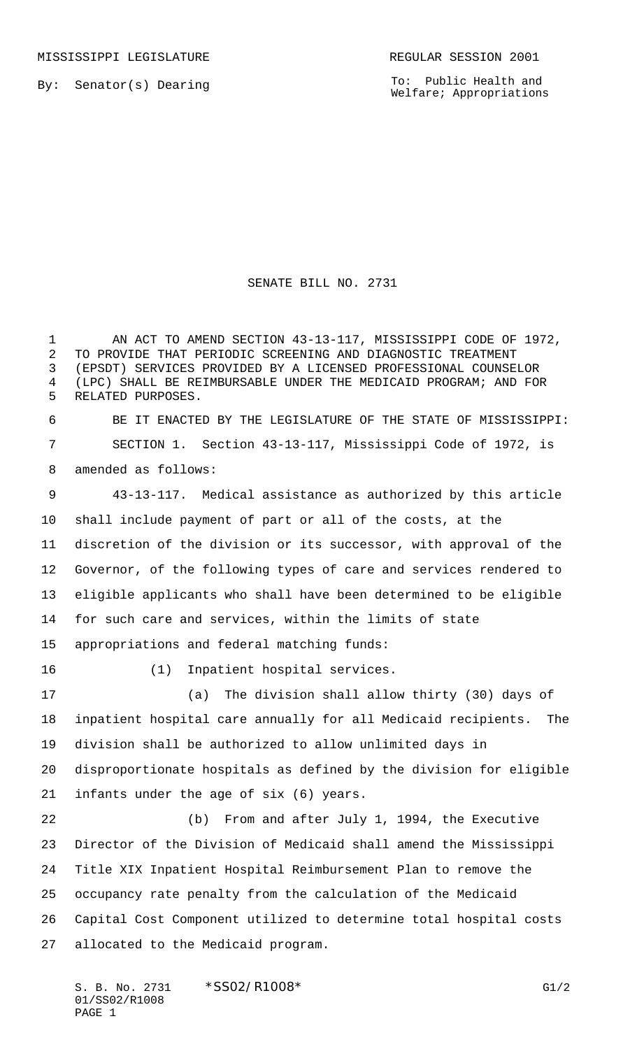MISSISSIPPI LEGISLATURE **REGULAR SESSION 2001** 

By: Senator(s) Dearing

To: Public Health and Welfare; Appropriations

## SENATE BILL NO. 2731

1 AN ACT TO AMEND SECTION 43-13-117, MISSISSIPPI CODE OF 1972, TO PROVIDE THAT PERIODIC SCREENING AND DIAGNOSTIC TREATMENT (EPSDT) SERVICES PROVIDED BY A LICENSED PROFESSIONAL COUNSELOR (LPC) SHALL BE REIMBURSABLE UNDER THE MEDICAID PROGRAM; AND FOR RELATED PURPOSES. BE IT ENACTED BY THE LEGISLATURE OF THE STATE OF MISSISSIPPI: SECTION 1. Section 43-13-117, Mississippi Code of 1972, is amended as follows: 43-13-117. Medical assistance as authorized by this article shall include payment of part or all of the costs, at the discretion of the division or its successor, with approval of the Governor, of the following types of care and services rendered to eligible applicants who shall have been determined to be eligible for such care and services, within the limits of state appropriations and federal matching funds: (1) Inpatient hospital services. (a) The division shall allow thirty (30) days of inpatient hospital care annually for all Medicaid recipients. The division shall be authorized to allow unlimited days in disproportionate hospitals as defined by the division for eligible infants under the age of six (6) years. (b) From and after July 1, 1994, the Executive Director of the Division of Medicaid shall amend the Mississippi Title XIX Inpatient Hospital Reimbursement Plan to remove the occupancy rate penalty from the calculation of the Medicaid Capital Cost Component utilized to determine total hospital costs allocated to the Medicaid program.

S. B. No. 2731 \* SS02/R1008\* G1/2 01/SS02/R1008 PAGE 1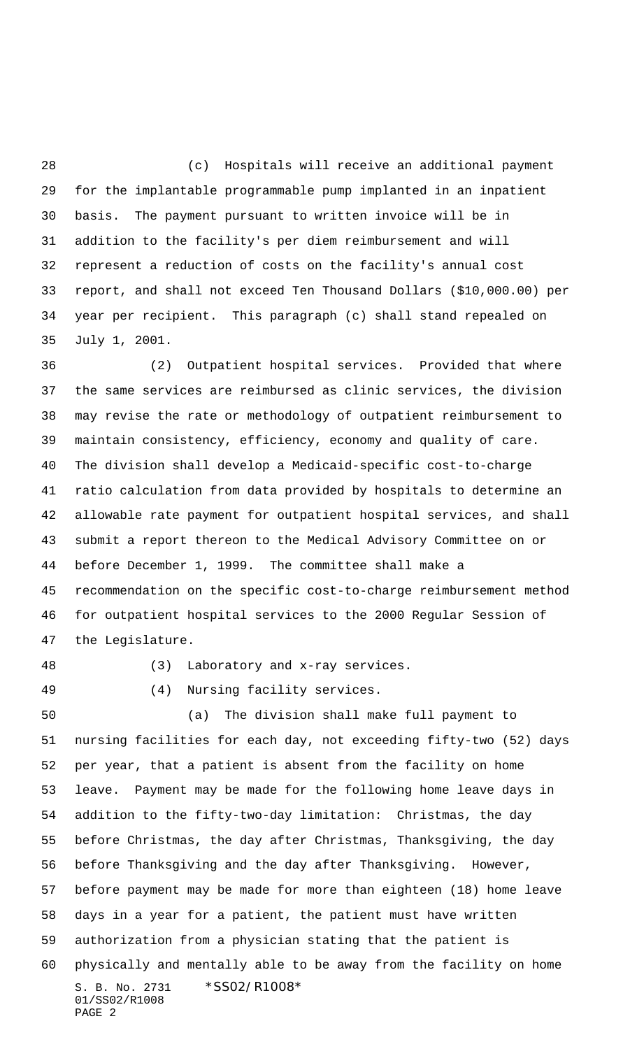(c) Hospitals will receive an additional payment for the implantable programmable pump implanted in an inpatient basis. The payment pursuant to written invoice will be in addition to the facility's per diem reimbursement and will represent a reduction of costs on the facility's annual cost report, and shall not exceed Ten Thousand Dollars (\$10,000.00) per year per recipient. This paragraph (c) shall stand repealed on July 1, 2001.

 (2) Outpatient hospital services. Provided that where the same services are reimbursed as clinic services, the division may revise the rate or methodology of outpatient reimbursement to maintain consistency, efficiency, economy and quality of care. The division shall develop a Medicaid-specific cost-to-charge ratio calculation from data provided by hospitals to determine an allowable rate payment for outpatient hospital services, and shall submit a report thereon to the Medical Advisory Committee on or before December 1, 1999. The committee shall make a recommendation on the specific cost-to-charge reimbursement method for outpatient hospital services to the 2000 Regular Session of the Legislature.

(3) Laboratory and x-ray services.

(4) Nursing facility services.

S. B. No. 2731 \*SS02/R1008\* 01/SS02/R1008 PAGE 2 (a) The division shall make full payment to nursing facilities for each day, not exceeding fifty-two (52) days per year, that a patient is absent from the facility on home leave. Payment may be made for the following home leave days in addition to the fifty-two-day limitation: Christmas, the day before Christmas, the day after Christmas, Thanksgiving, the day before Thanksgiving and the day after Thanksgiving. However, before payment may be made for more than eighteen (18) home leave days in a year for a patient, the patient must have written authorization from a physician stating that the patient is physically and mentally able to be away from the facility on home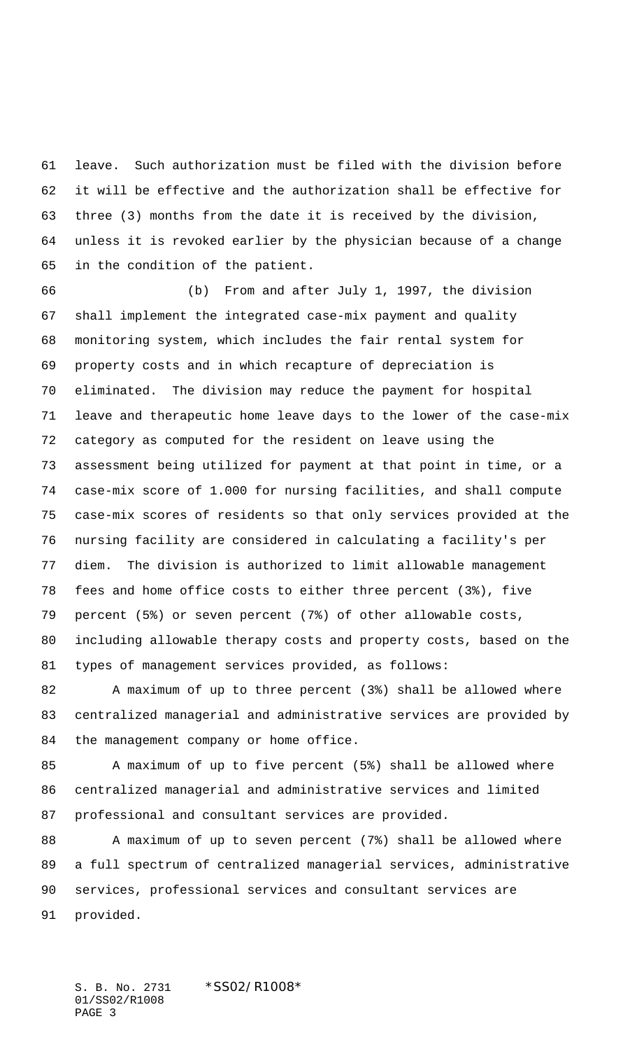leave. Such authorization must be filed with the division before it will be effective and the authorization shall be effective for three (3) months from the date it is received by the division, unless it is revoked earlier by the physician because of a change in the condition of the patient.

 (b) From and after July 1, 1997, the division shall implement the integrated case-mix payment and quality monitoring system, which includes the fair rental system for property costs and in which recapture of depreciation is eliminated. The division may reduce the payment for hospital leave and therapeutic home leave days to the lower of the case-mix category as computed for the resident on leave using the assessment being utilized for payment at that point in time, or a case-mix score of 1.000 for nursing facilities, and shall compute case-mix scores of residents so that only services provided at the nursing facility are considered in calculating a facility's per diem. The division is authorized to limit allowable management fees and home office costs to either three percent (3%), five percent (5%) or seven percent (7%) of other allowable costs, including allowable therapy costs and property costs, based on the types of management services provided, as follows:

 A maximum of up to three percent (3%) shall be allowed where centralized managerial and administrative services are provided by the management company or home office.

 A maximum of up to five percent (5%) shall be allowed where centralized managerial and administrative services and limited professional and consultant services are provided.

88 A maximum of up to seven percent (7%) shall be allowed where a full spectrum of centralized managerial services, administrative services, professional services and consultant services are provided.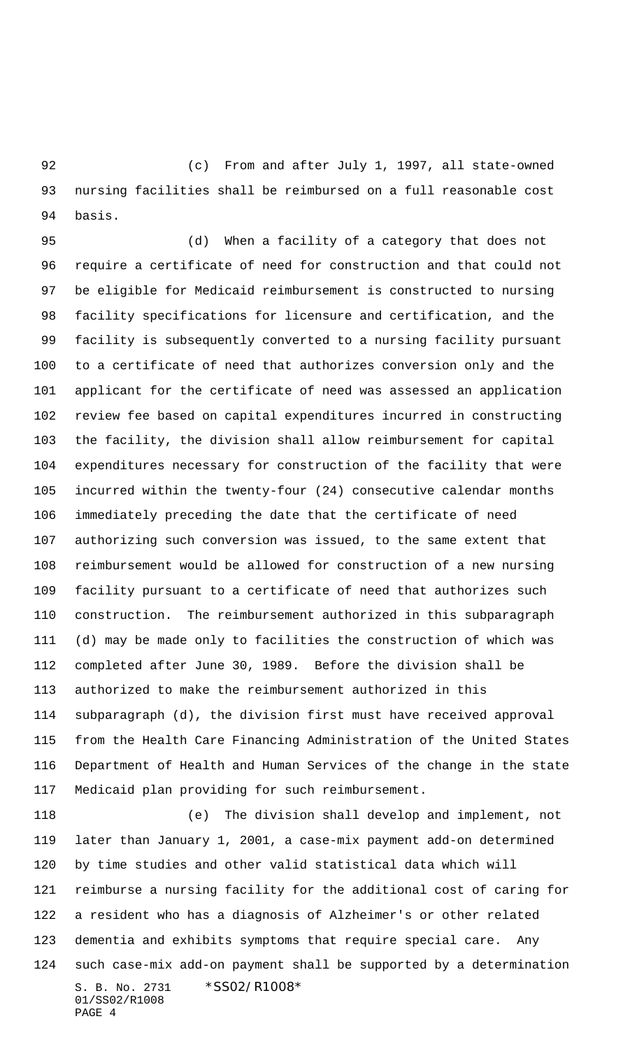(c) From and after July 1, 1997, all state-owned nursing facilities shall be reimbursed on a full reasonable cost basis.

 (d) When a facility of a category that does not require a certificate of need for construction and that could not be eligible for Medicaid reimbursement is constructed to nursing facility specifications for licensure and certification, and the facility is subsequently converted to a nursing facility pursuant to a certificate of need that authorizes conversion only and the applicant for the certificate of need was assessed an application review fee based on capital expenditures incurred in constructing the facility, the division shall allow reimbursement for capital expenditures necessary for construction of the facility that were incurred within the twenty-four (24) consecutive calendar months immediately preceding the date that the certificate of need authorizing such conversion was issued, to the same extent that reimbursement would be allowed for construction of a new nursing facility pursuant to a certificate of need that authorizes such construction. The reimbursement authorized in this subparagraph (d) may be made only to facilities the construction of which was completed after June 30, 1989. Before the division shall be authorized to make the reimbursement authorized in this subparagraph (d), the division first must have received approval from the Health Care Financing Administration of the United States Department of Health and Human Services of the change in the state Medicaid plan providing for such reimbursement.

S. B. No. 2731 \*SS02/R1008\* 01/SS02/R1008 PAGE 4 (e) The division shall develop and implement, not later than January 1, 2001, a case-mix payment add-on determined by time studies and other valid statistical data which will reimburse a nursing facility for the additional cost of caring for a resident who has a diagnosis of Alzheimer's or other related dementia and exhibits symptoms that require special care. Any such case-mix add-on payment shall be supported by a determination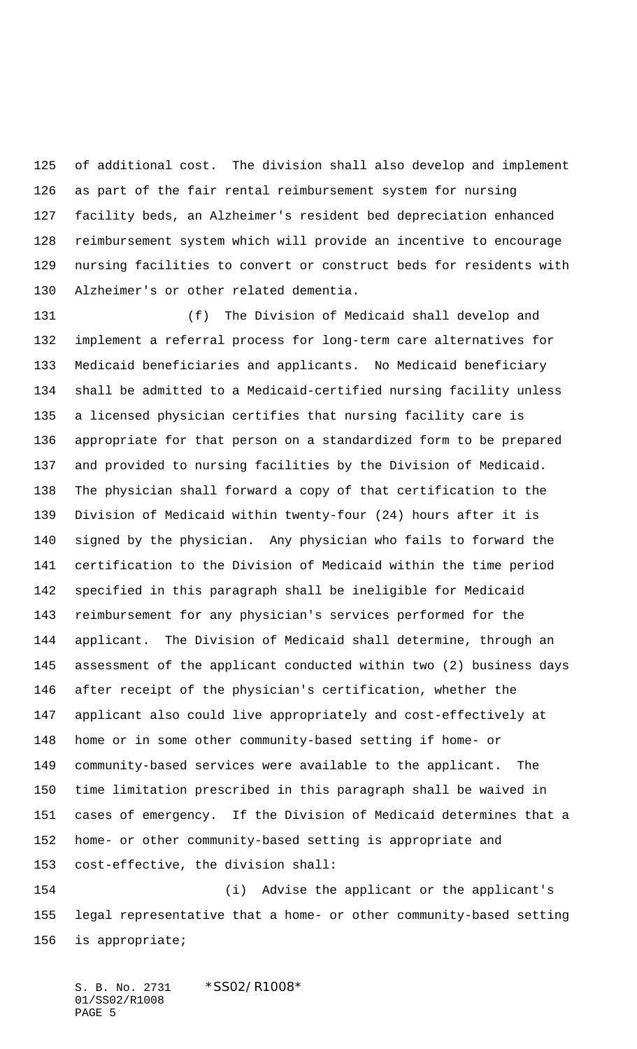of additional cost. The division shall also develop and implement as part of the fair rental reimbursement system for nursing facility beds, an Alzheimer's resident bed depreciation enhanced reimbursement system which will provide an incentive to encourage nursing facilities to convert or construct beds for residents with Alzheimer's or other related dementia.

 (f) The Division of Medicaid shall develop and implement a referral process for long-term care alternatives for Medicaid beneficiaries and applicants. No Medicaid beneficiary shall be admitted to a Medicaid-certified nursing facility unless a licensed physician certifies that nursing facility care is appropriate for that person on a standardized form to be prepared and provided to nursing facilities by the Division of Medicaid. The physician shall forward a copy of that certification to the Division of Medicaid within twenty-four (24) hours after it is signed by the physician. Any physician who fails to forward the certification to the Division of Medicaid within the time period specified in this paragraph shall be ineligible for Medicaid reimbursement for any physician's services performed for the applicant. The Division of Medicaid shall determine, through an assessment of the applicant conducted within two (2) business days after receipt of the physician's certification, whether the applicant also could live appropriately and cost-effectively at home or in some other community-based setting if home- or community-based services were available to the applicant. The time limitation prescribed in this paragraph shall be waived in cases of emergency. If the Division of Medicaid determines that a home- or other community-based setting is appropriate and cost-effective, the division shall:

 (i) Advise the applicant or the applicant's legal representative that a home- or other community-based setting is appropriate;

S. B. No. 2731 \*SS02/R1008\* 01/SS02/R1008 PAGE 5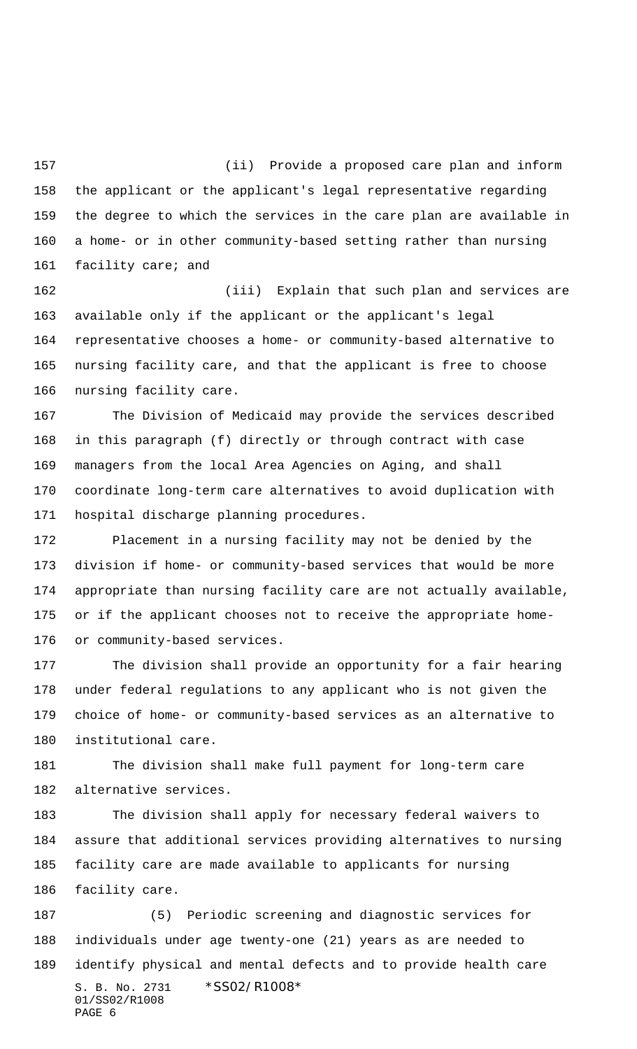(ii) Provide a proposed care plan and inform the applicant or the applicant's legal representative regarding the degree to which the services in the care plan are available in a home- or in other community-based setting rather than nursing facility care; and

 (iii) Explain that such plan and services are available only if the applicant or the applicant's legal representative chooses a home- or community-based alternative to nursing facility care, and that the applicant is free to choose nursing facility care.

 The Division of Medicaid may provide the services described in this paragraph (f) directly or through contract with case managers from the local Area Agencies on Aging, and shall coordinate long-term care alternatives to avoid duplication with hospital discharge planning procedures.

 Placement in a nursing facility may not be denied by the division if home- or community-based services that would be more appropriate than nursing facility care are not actually available, or if the applicant chooses not to receive the appropriate home-or community-based services.

 The division shall provide an opportunity for a fair hearing under federal regulations to any applicant who is not given the choice of home- or community-based services as an alternative to institutional care.

 The division shall make full payment for long-term care alternative services.

 The division shall apply for necessary federal waivers to assure that additional services providing alternatives to nursing facility care are made available to applicants for nursing facility care.

S. B. No. 2731 \*SS02/R1008\* 01/SS02/R1008 PAGE 6 (5) Periodic screening and diagnostic services for individuals under age twenty-one (21) years as are needed to identify physical and mental defects and to provide health care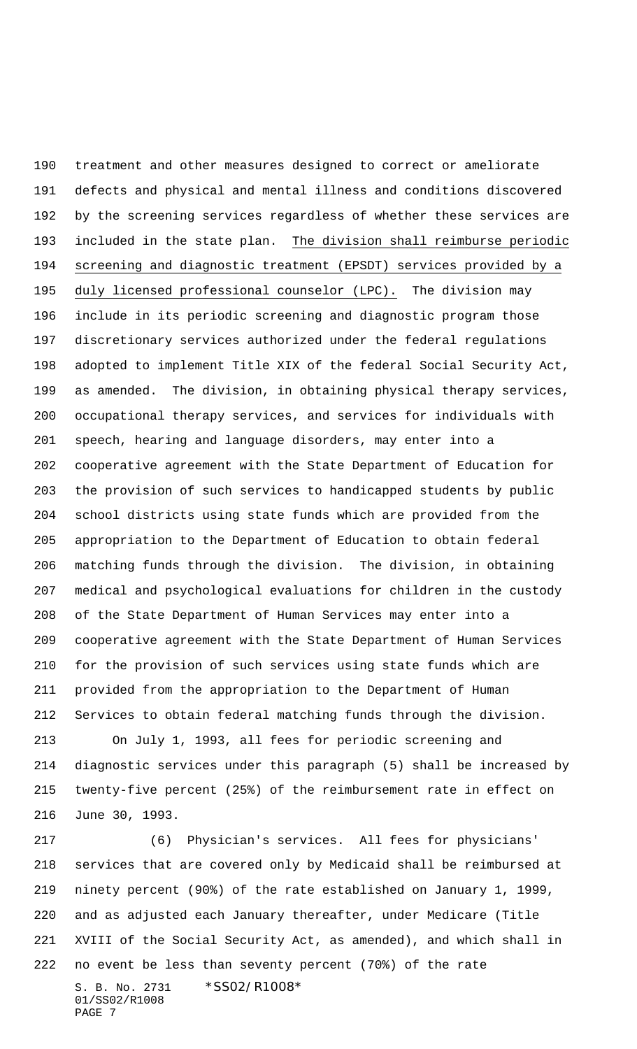treatment and other measures designed to correct or ameliorate defects and physical and mental illness and conditions discovered by the screening services regardless of whether these services are 193 included in the state plan. The division shall reimburse periodic screening and diagnostic treatment (EPSDT) services provided by a duly licensed professional counselor (LPC). The division may include in its periodic screening and diagnostic program those discretionary services authorized under the federal regulations adopted to implement Title XIX of the federal Social Security Act, as amended. The division, in obtaining physical therapy services, occupational therapy services, and services for individuals with speech, hearing and language disorders, may enter into a cooperative agreement with the State Department of Education for the provision of such services to handicapped students by public school districts using state funds which are provided from the appropriation to the Department of Education to obtain federal matching funds through the division. The division, in obtaining medical and psychological evaluations for children in the custody of the State Department of Human Services may enter into a cooperative agreement with the State Department of Human Services for the provision of such services using state funds which are provided from the appropriation to the Department of Human Services to obtain federal matching funds through the division.

 On July 1, 1993, all fees for periodic screening and diagnostic services under this paragraph (5) shall be increased by twenty-five percent (25%) of the reimbursement rate in effect on June 30, 1993.

S. B. No. 2731 \*SS02/R1008\* 01/SS02/R1008 PAGE 7 (6) Physician's services. All fees for physicians' services that are covered only by Medicaid shall be reimbursed at ninety percent (90%) of the rate established on January 1, 1999, and as adjusted each January thereafter, under Medicare (Title XVIII of the Social Security Act, as amended), and which shall in no event be less than seventy percent (70%) of the rate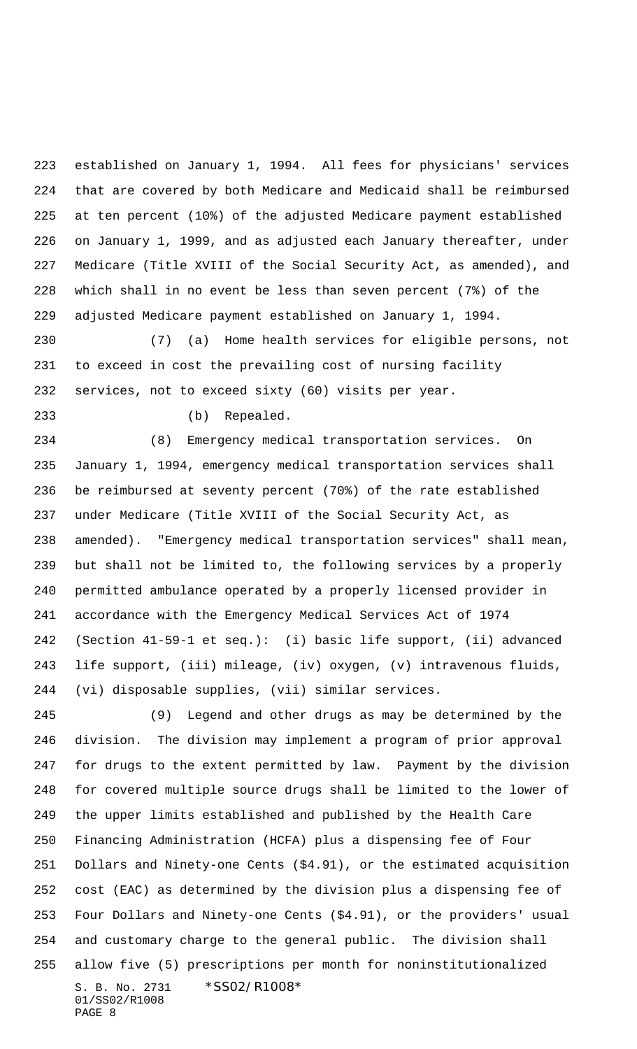established on January 1, 1994. All fees for physicians' services that are covered by both Medicare and Medicaid shall be reimbursed at ten percent (10%) of the adjusted Medicare payment established on January 1, 1999, and as adjusted each January thereafter, under Medicare (Title XVIII of the Social Security Act, as amended), and which shall in no event be less than seven percent (7%) of the adjusted Medicare payment established on January 1, 1994.

 (7) (a) Home health services for eligible persons, not to exceed in cost the prevailing cost of nursing facility services, not to exceed sixty (60) visits per year.

(b) Repealed.

 (8) Emergency medical transportation services. On January 1, 1994, emergency medical transportation services shall be reimbursed at seventy percent (70%) of the rate established under Medicare (Title XVIII of the Social Security Act, as amended). "Emergency medical transportation services" shall mean, but shall not be limited to, the following services by a properly permitted ambulance operated by a properly licensed provider in accordance with the Emergency Medical Services Act of 1974 (Section 41-59-1 et seq.): (i) basic life support, (ii) advanced life support, (iii) mileage, (iv) oxygen, (v) intravenous fluids, (vi) disposable supplies, (vii) similar services.

S. B. No. 2731 \*SS02/R1008\* 01/SS02/R1008 PAGE 8 (9) Legend and other drugs as may be determined by the division. The division may implement a program of prior approval for drugs to the extent permitted by law. Payment by the division for covered multiple source drugs shall be limited to the lower of the upper limits established and published by the Health Care Financing Administration (HCFA) plus a dispensing fee of Four Dollars and Ninety-one Cents (\$4.91), or the estimated acquisition cost (EAC) as determined by the division plus a dispensing fee of Four Dollars and Ninety-one Cents (\$4.91), or the providers' usual and customary charge to the general public. The division shall allow five (5) prescriptions per month for noninstitutionalized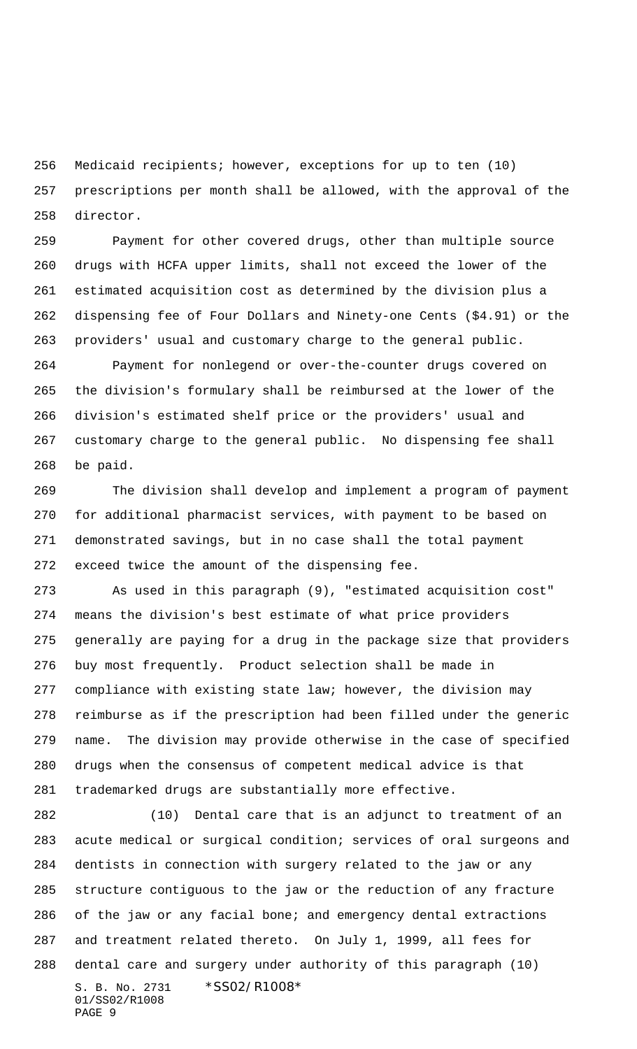Medicaid recipients; however, exceptions for up to ten (10) prescriptions per month shall be allowed, with the approval of the director.

 Payment for other covered drugs, other than multiple source drugs with HCFA upper limits, shall not exceed the lower of the estimated acquisition cost as determined by the division plus a dispensing fee of Four Dollars and Ninety-one Cents (\$4.91) or the providers' usual and customary charge to the general public.

 Payment for nonlegend or over-the-counter drugs covered on the division's formulary shall be reimbursed at the lower of the division's estimated shelf price or the providers' usual and customary charge to the general public. No dispensing fee shall be paid.

 The division shall develop and implement a program of payment for additional pharmacist services, with payment to be based on demonstrated savings, but in no case shall the total payment exceed twice the amount of the dispensing fee.

 As used in this paragraph (9), "estimated acquisition cost" means the division's best estimate of what price providers generally are paying for a drug in the package size that providers buy most frequently. Product selection shall be made in compliance with existing state law; however, the division may reimburse as if the prescription had been filled under the generic name. The division may provide otherwise in the case of specified drugs when the consensus of competent medical advice is that trademarked drugs are substantially more effective.

S. B. No. 2731 \*SS02/R1008\* 01/SS02/R1008 PAGE 9 (10) Dental care that is an adjunct to treatment of an acute medical or surgical condition; services of oral surgeons and dentists in connection with surgery related to the jaw or any structure contiguous to the jaw or the reduction of any fracture of the jaw or any facial bone; and emergency dental extractions and treatment related thereto. On July 1, 1999, all fees for dental care and surgery under authority of this paragraph (10)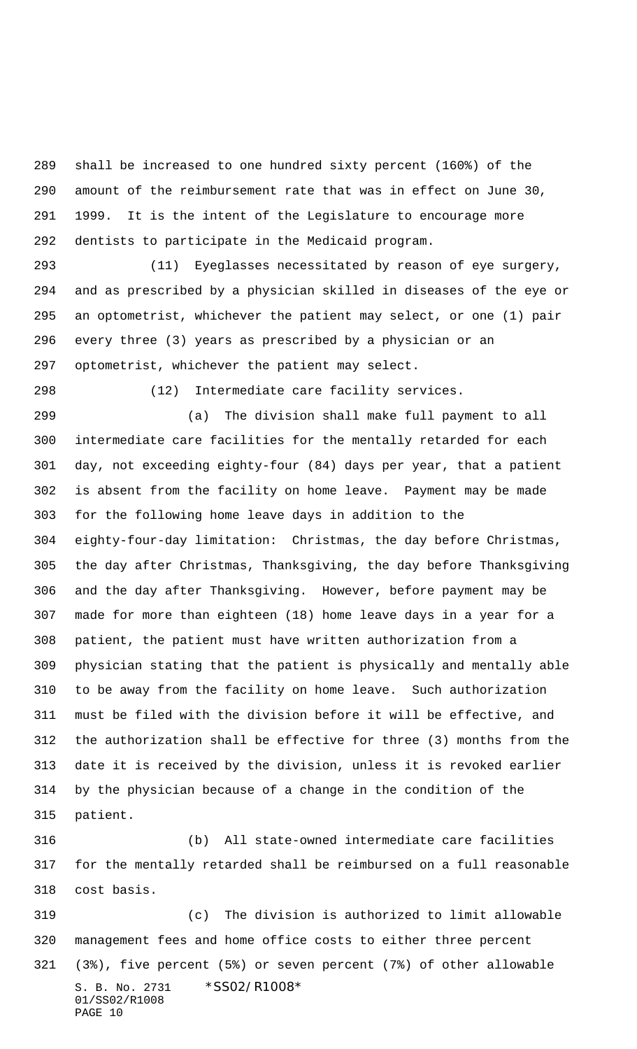shall be increased to one hundred sixty percent (160%) of the amount of the reimbursement rate that was in effect on June 30, 1999. It is the intent of the Legislature to encourage more dentists to participate in the Medicaid program.

 (11) Eyeglasses necessitated by reason of eye surgery, and as prescribed by a physician skilled in diseases of the eye or an optometrist, whichever the patient may select, or one (1) pair every three (3) years as prescribed by a physician or an optometrist, whichever the patient may select.

(12) Intermediate care facility services.

 (a) The division shall make full payment to all intermediate care facilities for the mentally retarded for each day, not exceeding eighty-four (84) days per year, that a patient is absent from the facility on home leave. Payment may be made for the following home leave days in addition to the eighty-four-day limitation: Christmas, the day before Christmas, the day after Christmas, Thanksgiving, the day before Thanksgiving and the day after Thanksgiving. However, before payment may be made for more than eighteen (18) home leave days in a year for a patient, the patient must have written authorization from a physician stating that the patient is physically and mentally able to be away from the facility on home leave. Such authorization must be filed with the division before it will be effective, and the authorization shall be effective for three (3) months from the date it is received by the division, unless it is revoked earlier by the physician because of a change in the condition of the patient.

 (b) All state-owned intermediate care facilities for the mentally retarded shall be reimbursed on a full reasonable cost basis.

S. B. No. 2731 \*SS02/R1008\* 01/SS02/R1008 PAGE 10 (c) The division is authorized to limit allowable management fees and home office costs to either three percent (3%), five percent (5%) or seven percent (7%) of other allowable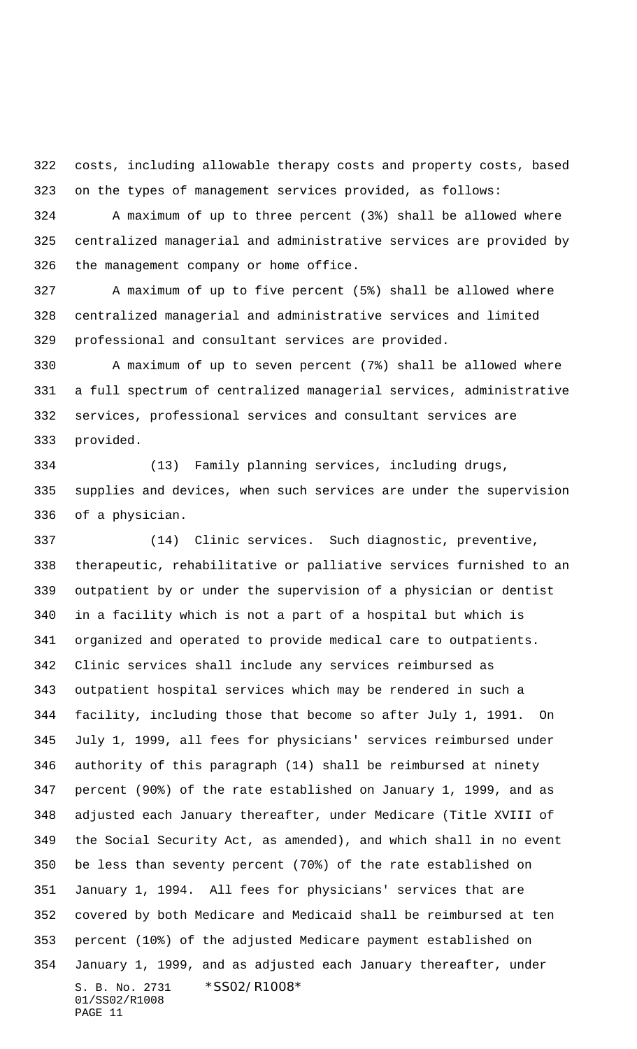costs, including allowable therapy costs and property costs, based on the types of management services provided, as follows:

 A maximum of up to three percent (3%) shall be allowed where centralized managerial and administrative services are provided by the management company or home office.

 A maximum of up to five percent (5%) shall be allowed where centralized managerial and administrative services and limited professional and consultant services are provided.

 A maximum of up to seven percent (7%) shall be allowed where a full spectrum of centralized managerial services, administrative services, professional services and consultant services are provided.

 (13) Family planning services, including drugs, supplies and devices, when such services are under the supervision of a physician.

S. B. No. 2731 \*SS02/R1008\* 01/SS02/R1008 PAGE 11 (14) Clinic services. Such diagnostic, preventive, therapeutic, rehabilitative or palliative services furnished to an outpatient by or under the supervision of a physician or dentist in a facility which is not a part of a hospital but which is organized and operated to provide medical care to outpatients. Clinic services shall include any services reimbursed as outpatient hospital services which may be rendered in such a facility, including those that become so after July 1, 1991. On July 1, 1999, all fees for physicians' services reimbursed under authority of this paragraph (14) shall be reimbursed at ninety percent (90%) of the rate established on January 1, 1999, and as adjusted each January thereafter, under Medicare (Title XVIII of the Social Security Act, as amended), and which shall in no event be less than seventy percent (70%) of the rate established on January 1, 1994. All fees for physicians' services that are covered by both Medicare and Medicaid shall be reimbursed at ten percent (10%) of the adjusted Medicare payment established on January 1, 1999, and as adjusted each January thereafter, under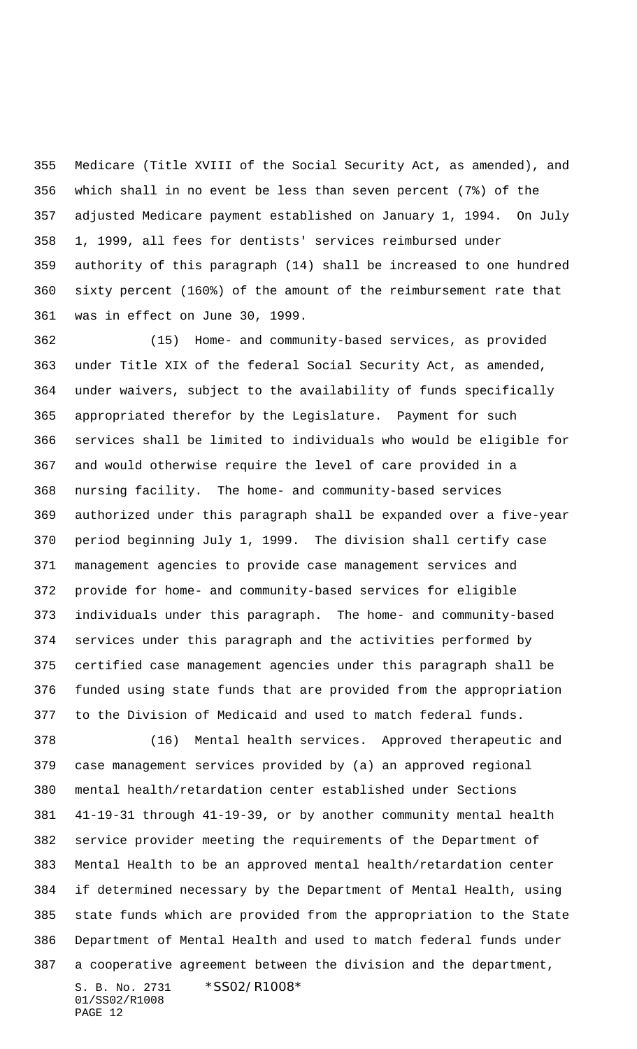Medicare (Title XVIII of the Social Security Act, as amended), and which shall in no event be less than seven percent (7%) of the adjusted Medicare payment established on January 1, 1994. On July 1, 1999, all fees for dentists' services reimbursed under authority of this paragraph (14) shall be increased to one hundred sixty percent (160%) of the amount of the reimbursement rate that was in effect on June 30, 1999.

 (15) Home- and community-based services, as provided under Title XIX of the federal Social Security Act, as amended, under waivers, subject to the availability of funds specifically appropriated therefor by the Legislature. Payment for such services shall be limited to individuals who would be eligible for and would otherwise require the level of care provided in a nursing facility. The home- and community-based services authorized under this paragraph shall be expanded over a five-year period beginning July 1, 1999. The division shall certify case management agencies to provide case management services and provide for home- and community-based services for eligible individuals under this paragraph. The home- and community-based services under this paragraph and the activities performed by certified case management agencies under this paragraph shall be funded using state funds that are provided from the appropriation to the Division of Medicaid and used to match federal funds.

S. B. No. 2731 \*SS02/R1008\* (16) Mental health services. Approved therapeutic and case management services provided by (a) an approved regional mental health/retardation center established under Sections 41-19-31 through 41-19-39, or by another community mental health service provider meeting the requirements of the Department of Mental Health to be an approved mental health/retardation center if determined necessary by the Department of Mental Health, using state funds which are provided from the appropriation to the State Department of Mental Health and used to match federal funds under a cooperative agreement between the division and the department,

01/SS02/R1008 PAGE 12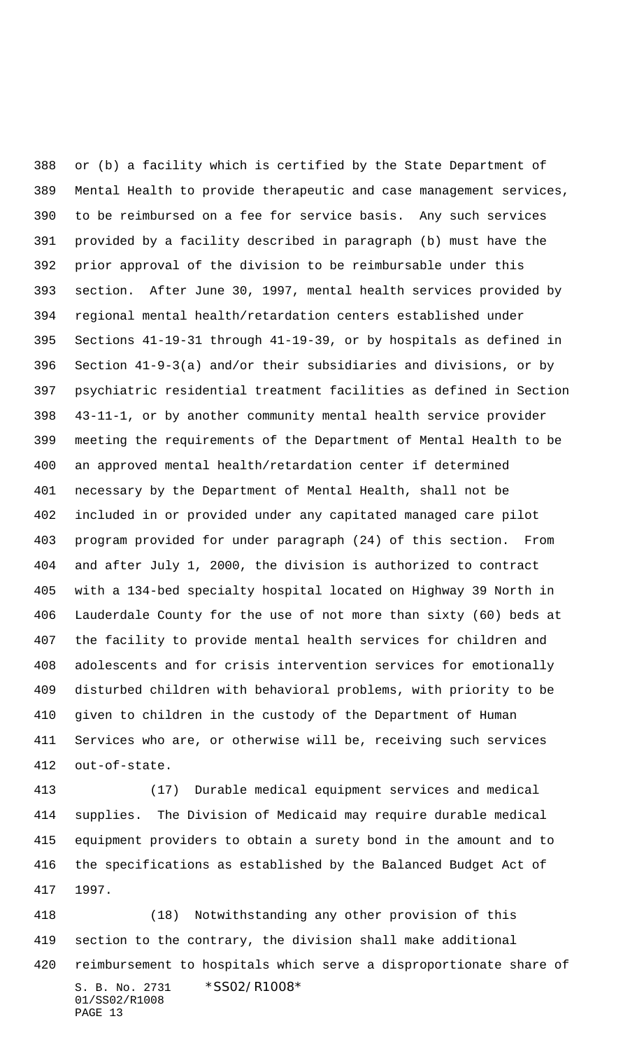or (b) a facility which is certified by the State Department of Mental Health to provide therapeutic and case management services, to be reimbursed on a fee for service basis. Any such services provided by a facility described in paragraph (b) must have the prior approval of the division to be reimbursable under this section. After June 30, 1997, mental health services provided by regional mental health/retardation centers established under Sections 41-19-31 through 41-19-39, or by hospitals as defined in Section 41-9-3(a) and/or their subsidiaries and divisions, or by psychiatric residential treatment facilities as defined in Section 43-11-1, or by another community mental health service provider meeting the requirements of the Department of Mental Health to be an approved mental health/retardation center if determined necessary by the Department of Mental Health, shall not be included in or provided under any capitated managed care pilot program provided for under paragraph (24) of this section. From and after July 1, 2000, the division is authorized to contract with a 134-bed specialty hospital located on Highway 39 North in Lauderdale County for the use of not more than sixty (60) beds at the facility to provide mental health services for children and adolescents and for crisis intervention services for emotionally disturbed children with behavioral problems, with priority to be given to children in the custody of the Department of Human Services who are, or otherwise will be, receiving such services out-of-state.

 (17) Durable medical equipment services and medical supplies. The Division of Medicaid may require durable medical equipment providers to obtain a surety bond in the amount and to the specifications as established by the Balanced Budget Act of 1997.

S. B. No. 2731 \*SS02/R1008\* 01/SS02/R1008 PAGE 13 (18) Notwithstanding any other provision of this section to the contrary, the division shall make additional reimbursement to hospitals which serve a disproportionate share of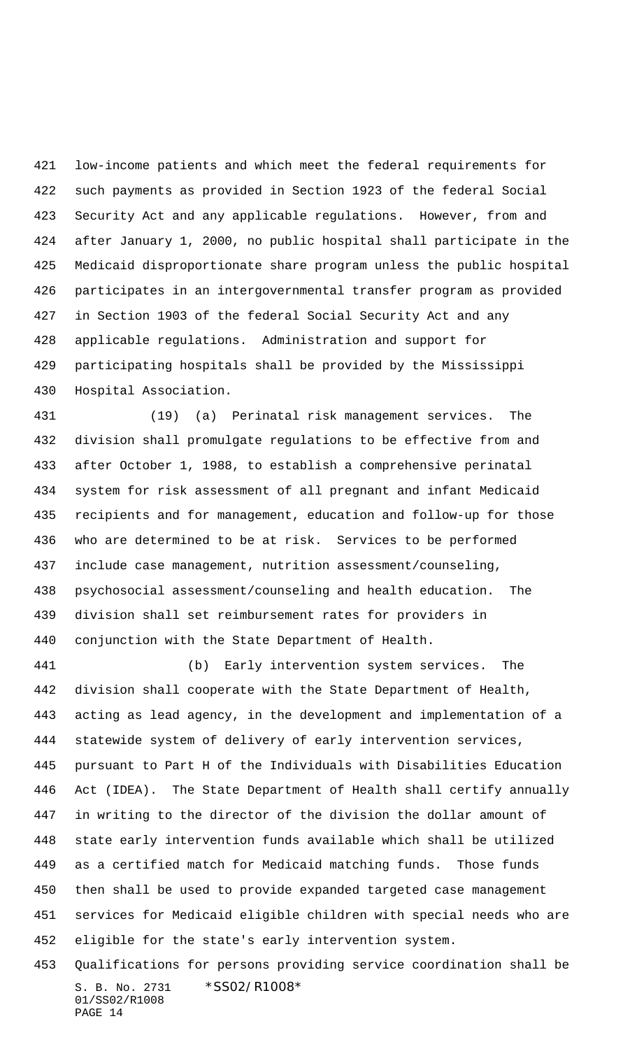low-income patients and which meet the federal requirements for such payments as provided in Section 1923 of the federal Social Security Act and any applicable regulations. However, from and after January 1, 2000, no public hospital shall participate in the Medicaid disproportionate share program unless the public hospital participates in an intergovernmental transfer program as provided in Section 1903 of the federal Social Security Act and any applicable regulations. Administration and support for participating hospitals shall be provided by the Mississippi Hospital Association.

 (19) (a) Perinatal risk management services. The division shall promulgate regulations to be effective from and after October 1, 1988, to establish a comprehensive perinatal system for risk assessment of all pregnant and infant Medicaid recipients and for management, education and follow-up for those who are determined to be at risk. Services to be performed include case management, nutrition assessment/counseling, psychosocial assessment/counseling and health education. The division shall set reimbursement rates for providers in conjunction with the State Department of Health.

 (b) Early intervention system services. The division shall cooperate with the State Department of Health, acting as lead agency, in the development and implementation of a statewide system of delivery of early intervention services, pursuant to Part H of the Individuals with Disabilities Education Act (IDEA). The State Department of Health shall certify annually in writing to the director of the division the dollar amount of state early intervention funds available which shall be utilized as a certified match for Medicaid matching funds. Those funds then shall be used to provide expanded targeted case management services for Medicaid eligible children with special needs who are eligible for the state's early intervention system.

S. B. No. 2731 \*SS02/R1008\* 01/SS02/R1008 PAGE 14 Qualifications for persons providing service coordination shall be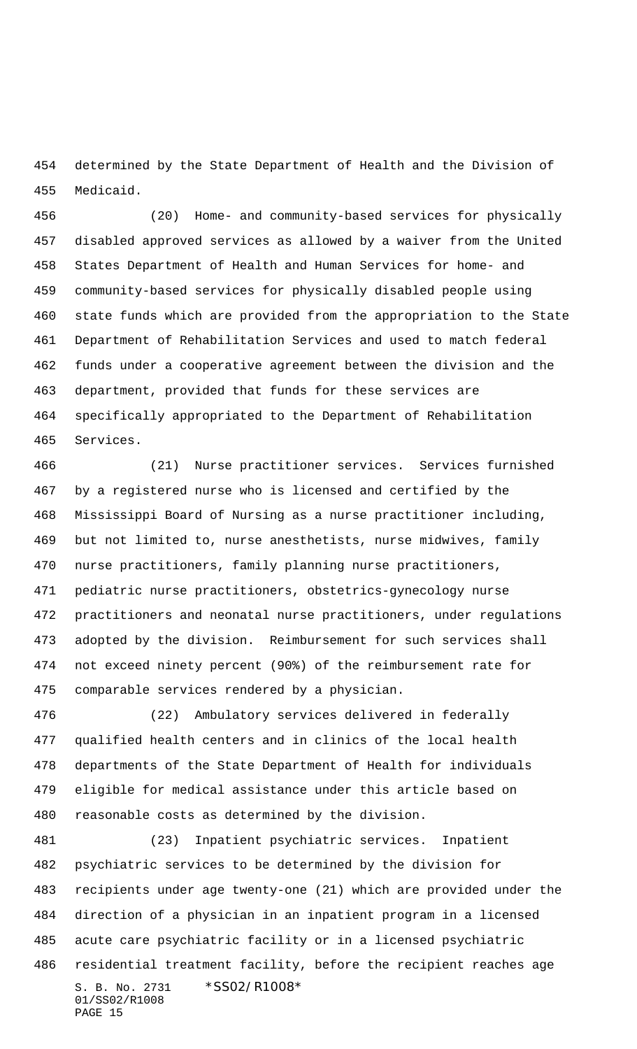determined by the State Department of Health and the Division of Medicaid.

 (20) Home- and community-based services for physically disabled approved services as allowed by a waiver from the United States Department of Health and Human Services for home- and community-based services for physically disabled people using state funds which are provided from the appropriation to the State Department of Rehabilitation Services and used to match federal funds under a cooperative agreement between the division and the department, provided that funds for these services are specifically appropriated to the Department of Rehabilitation Services.

 (21) Nurse practitioner services. Services furnished by a registered nurse who is licensed and certified by the Mississippi Board of Nursing as a nurse practitioner including, but not limited to, nurse anesthetists, nurse midwives, family nurse practitioners, family planning nurse practitioners, pediatric nurse practitioners, obstetrics-gynecology nurse practitioners and neonatal nurse practitioners, under regulations adopted by the division. Reimbursement for such services shall not exceed ninety percent (90%) of the reimbursement rate for comparable services rendered by a physician.

 (22) Ambulatory services delivered in federally qualified health centers and in clinics of the local health departments of the State Department of Health for individuals eligible for medical assistance under this article based on reasonable costs as determined by the division.

S. B. No. 2731 \*SS02/R1008\* 01/SS02/R1008 PAGE 15 (23) Inpatient psychiatric services. Inpatient psychiatric services to be determined by the division for recipients under age twenty-one (21) which are provided under the direction of a physician in an inpatient program in a licensed acute care psychiatric facility or in a licensed psychiatric residential treatment facility, before the recipient reaches age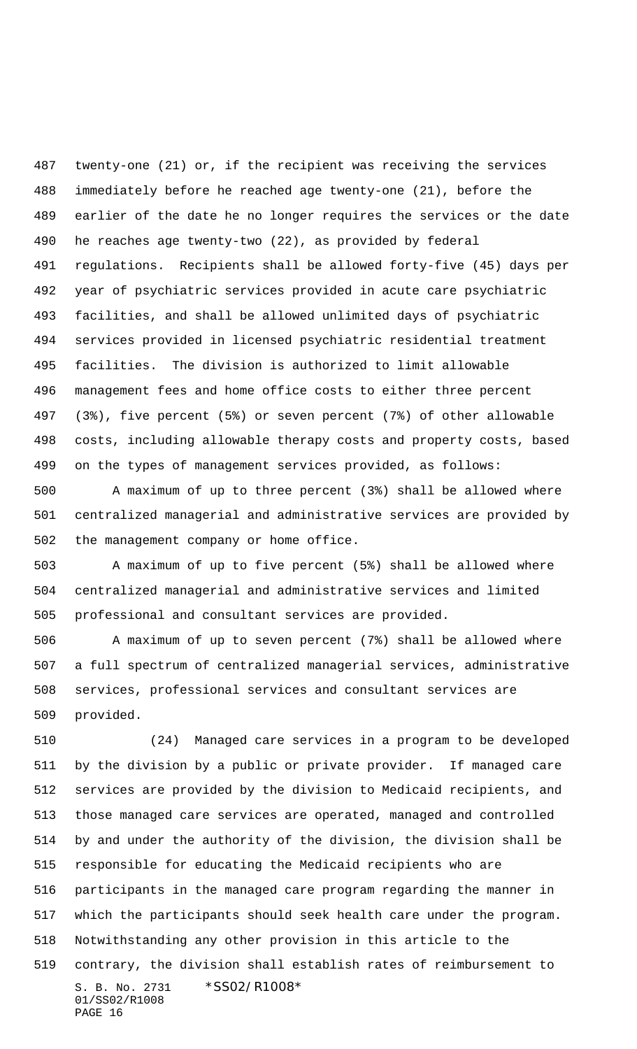twenty-one (21) or, if the recipient was receiving the services immediately before he reached age twenty-one (21), before the earlier of the date he no longer requires the services or the date he reaches age twenty-two (22), as provided by federal regulations. Recipients shall be allowed forty-five (45) days per year of psychiatric services provided in acute care psychiatric facilities, and shall be allowed unlimited days of psychiatric services provided in licensed psychiatric residential treatment facilities. The division is authorized to limit allowable management fees and home office costs to either three percent (3%), five percent (5%) or seven percent (7%) of other allowable costs, including allowable therapy costs and property costs, based on the types of management services provided, as follows:

 A maximum of up to three percent (3%) shall be allowed where centralized managerial and administrative services are provided by the management company or home office.

 A maximum of up to five percent (5%) shall be allowed where centralized managerial and administrative services and limited professional and consultant services are provided.

 A maximum of up to seven percent (7%) shall be allowed where a full spectrum of centralized managerial services, administrative services, professional services and consultant services are provided.

S. B. No. 2731 \*SS02/R1008\* 01/SS02/R1008 PAGE 16 (24) Managed care services in a program to be developed by the division by a public or private provider. If managed care services are provided by the division to Medicaid recipients, and those managed care services are operated, managed and controlled by and under the authority of the division, the division shall be responsible for educating the Medicaid recipients who are participants in the managed care program regarding the manner in which the participants should seek health care under the program. Notwithstanding any other provision in this article to the contrary, the division shall establish rates of reimbursement to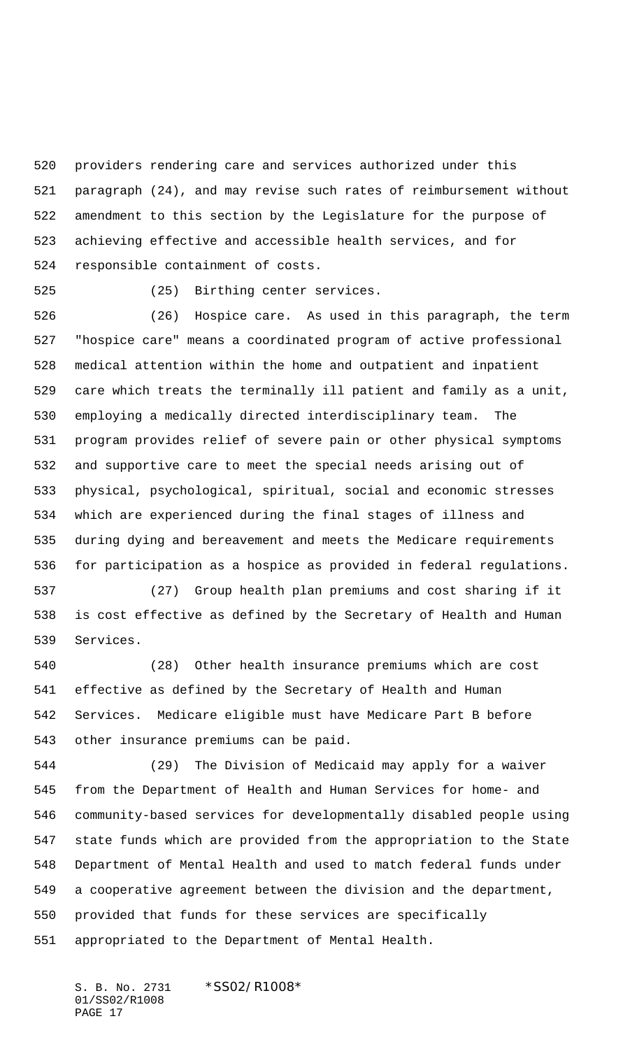providers rendering care and services authorized under this paragraph (24), and may revise such rates of reimbursement without amendment to this section by the Legislature for the purpose of achieving effective and accessible health services, and for responsible containment of costs.

(25) Birthing center services.

 (26) Hospice care. As used in this paragraph, the term "hospice care" means a coordinated program of active professional medical attention within the home and outpatient and inpatient care which treats the terminally ill patient and family as a unit, employing a medically directed interdisciplinary team. The program provides relief of severe pain or other physical symptoms and supportive care to meet the special needs arising out of physical, psychological, spiritual, social and economic stresses which are experienced during the final stages of illness and during dying and bereavement and meets the Medicare requirements for participation as a hospice as provided in federal regulations.

 (27) Group health plan premiums and cost sharing if it is cost effective as defined by the Secretary of Health and Human Services.

 (28) Other health insurance premiums which are cost effective as defined by the Secretary of Health and Human Services. Medicare eligible must have Medicare Part B before other insurance premiums can be paid.

 (29) The Division of Medicaid may apply for a waiver from the Department of Health and Human Services for home- and community-based services for developmentally disabled people using state funds which are provided from the appropriation to the State Department of Mental Health and used to match federal funds under a cooperative agreement between the division and the department, provided that funds for these services are specifically appropriated to the Department of Mental Health.

S. B. No. 2731 \*SS02/R1008\* 01/SS02/R1008 PAGE 17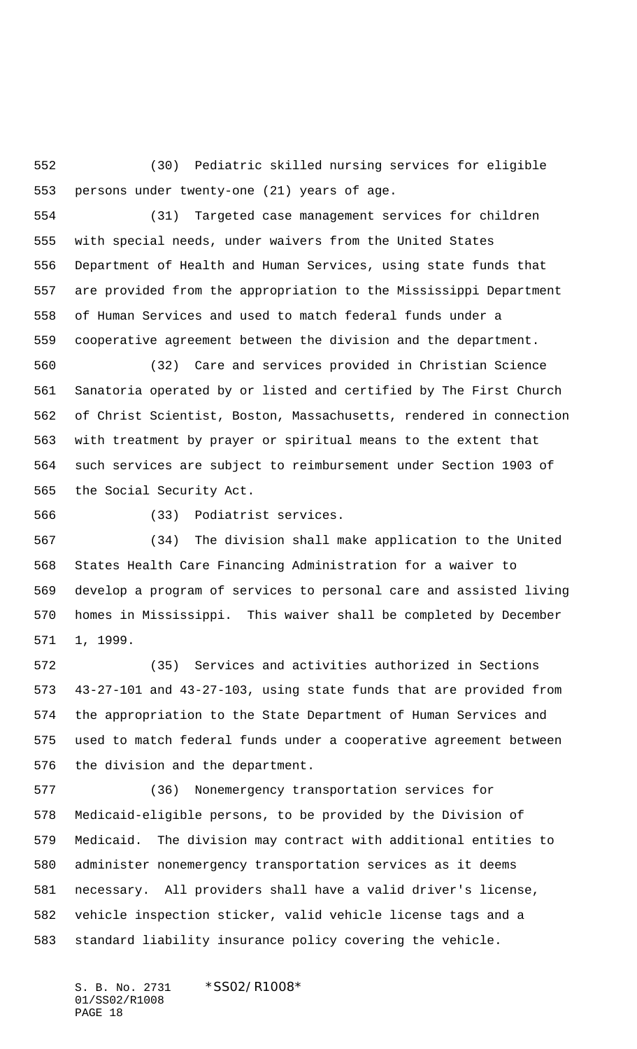(30) Pediatric skilled nursing services for eligible persons under twenty-one (21) years of age.

 (31) Targeted case management services for children with special needs, under waivers from the United States Department of Health and Human Services, using state funds that are provided from the appropriation to the Mississippi Department of Human Services and used to match federal funds under a cooperative agreement between the division and the department.

 (32) Care and services provided in Christian Science Sanatoria operated by or listed and certified by The First Church of Christ Scientist, Boston, Massachusetts, rendered in connection with treatment by prayer or spiritual means to the extent that such services are subject to reimbursement under Section 1903 of the Social Security Act.

(33) Podiatrist services.

 (34) The division shall make application to the United States Health Care Financing Administration for a waiver to develop a program of services to personal care and assisted living homes in Mississippi. This waiver shall be completed by December 1, 1999.

 (35) Services and activities authorized in Sections 43-27-101 and 43-27-103, using state funds that are provided from the appropriation to the State Department of Human Services and used to match federal funds under a cooperative agreement between the division and the department.

 (36) Nonemergency transportation services for Medicaid-eligible persons, to be provided by the Division of Medicaid. The division may contract with additional entities to administer nonemergency transportation services as it deems necessary. All providers shall have a valid driver's license, vehicle inspection sticker, valid vehicle license tags and a standard liability insurance policy covering the vehicle.

S. B. No. 2731 \*SS02/R1008\* 01/SS02/R1008 PAGE 18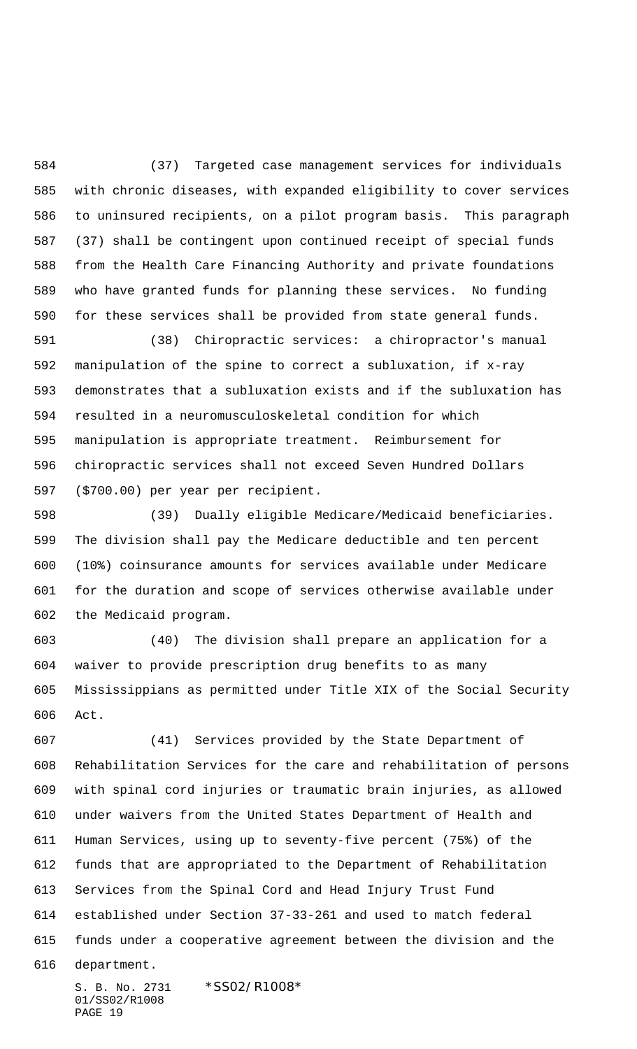(37) Targeted case management services for individuals with chronic diseases, with expanded eligibility to cover services to uninsured recipients, on a pilot program basis. This paragraph (37) shall be contingent upon continued receipt of special funds from the Health Care Financing Authority and private foundations who have granted funds for planning these services. No funding for these services shall be provided from state general funds.

 (38) Chiropractic services: a chiropractor's manual manipulation of the spine to correct a subluxation, if x-ray demonstrates that a subluxation exists and if the subluxation has resulted in a neuromusculoskeletal condition for which manipulation is appropriate treatment. Reimbursement for chiropractic services shall not exceed Seven Hundred Dollars (\$700.00) per year per recipient.

 (39) Dually eligible Medicare/Medicaid beneficiaries. The division shall pay the Medicare deductible and ten percent (10%) coinsurance amounts for services available under Medicare for the duration and scope of services otherwise available under the Medicaid program.

 (40) The division shall prepare an application for a waiver to provide prescription drug benefits to as many Mississippians as permitted under Title XIX of the Social Security Act.

 (41) Services provided by the State Department of Rehabilitation Services for the care and rehabilitation of persons with spinal cord injuries or traumatic brain injuries, as allowed under waivers from the United States Department of Health and Human Services, using up to seventy-five percent (75%) of the funds that are appropriated to the Department of Rehabilitation Services from the Spinal Cord and Head Injury Trust Fund established under Section 37-33-261 and used to match federal funds under a cooperative agreement between the division and the

department.

S. B. No. 2731 \*SS02/R1008\* 01/SS02/R1008 PAGE 19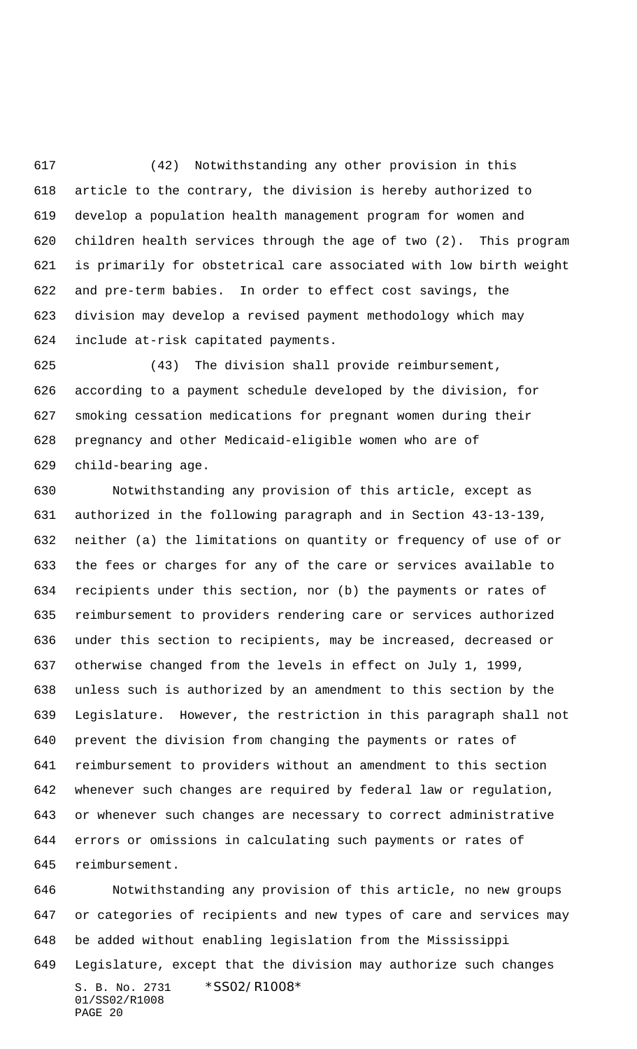(42) Notwithstanding any other provision in this article to the contrary, the division is hereby authorized to develop a population health management program for women and children health services through the age of two (2). This program is primarily for obstetrical care associated with low birth weight and pre-term babies. In order to effect cost savings, the division may develop a revised payment methodology which may include at-risk capitated payments.

 (43) The division shall provide reimbursement, according to a payment schedule developed by the division, for smoking cessation medications for pregnant women during their pregnancy and other Medicaid-eligible women who are of child-bearing age.

 Notwithstanding any provision of this article, except as authorized in the following paragraph and in Section 43-13-139, neither (a) the limitations on quantity or frequency of use of or the fees or charges for any of the care or services available to recipients under this section, nor (b) the payments or rates of reimbursement to providers rendering care or services authorized under this section to recipients, may be increased, decreased or otherwise changed from the levels in effect on July 1, 1999, unless such is authorized by an amendment to this section by the Legislature. However, the restriction in this paragraph shall not prevent the division from changing the payments or rates of reimbursement to providers without an amendment to this section whenever such changes are required by federal law or regulation, or whenever such changes are necessary to correct administrative errors or omissions in calculating such payments or rates of reimbursement.

S. B. No. 2731 \*SS02/R1008\* 01/SS02/R1008 PAGE 20 Notwithstanding any provision of this article, no new groups or categories of recipients and new types of care and services may be added without enabling legislation from the Mississippi Legislature, except that the division may authorize such changes